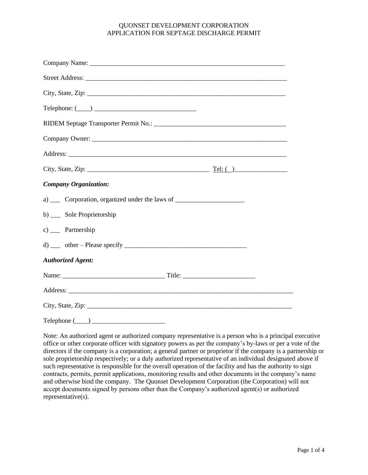| $\begin{picture}(150,10) \put(0,0){\vector(1,0){100}} \put(15,0){\vector(1,0){100}} \put(15,0){\vector(1,0){100}} \put(15,0){\vector(1,0){100}} \put(15,0){\vector(1,0){100}} \put(15,0){\vector(1,0){100}} \put(15,0){\vector(1,0){100}} \put(15,0){\vector(1,0){100}} \put(15,0){\vector(1,0){100}} \put(15,0){\vector(1,0){100}} \put(15,0){\vector(1,0){100}}$ |
|--------------------------------------------------------------------------------------------------------------------------------------------------------------------------------------------------------------------------------------------------------------------------------------------------------------------------------------------------------------------|
|                                                                                                                                                                                                                                                                                                                                                                    |
|                                                                                                                                                                                                                                                                                                                                                                    |
|                                                                                                                                                                                                                                                                                                                                                                    |
|                                                                                                                                                                                                                                                                                                                                                                    |
| <b>Company Organization:</b>                                                                                                                                                                                                                                                                                                                                       |
| a) _____ Corporation, organized under the laws of ______________________________                                                                                                                                                                                                                                                                                   |
| b) __ Sole Proprietorship                                                                                                                                                                                                                                                                                                                                          |
| $c)$ Partnership                                                                                                                                                                                                                                                                                                                                                   |
|                                                                                                                                                                                                                                                                                                                                                                    |
| <b>Authorized Agent:</b>                                                                                                                                                                                                                                                                                                                                           |
|                                                                                                                                                                                                                                                                                                                                                                    |
|                                                                                                                                                                                                                                                                                                                                                                    |
|                                                                                                                                                                                                                                                                                                                                                                    |
| $\text{Telephone} \ (\_\_\_\_\_\_\_\_\_\_\$                                                                                                                                                                                                                                                                                                                        |

Note: An authorized agent or authorized company representative is a person who is a principal executive office or other corporate officer with signatory powers as per the company's by-laws or per a vote of the directors if the company is a corporation; a general partner or proprietor if the company is a partnership or sole proprietorship respectively; or a duly authorized representative of an individual designated above if such representative is responsible for the overall operation of the facility and has the authority to sign contracts, permits, permit applications, monitoring results and other documents in the company's name and otherwise bind the company. The Quonset Development Corporation (the Corporation) will not accept documents signed by persons other than the Company's authorized agent(s) or authorized representative(s).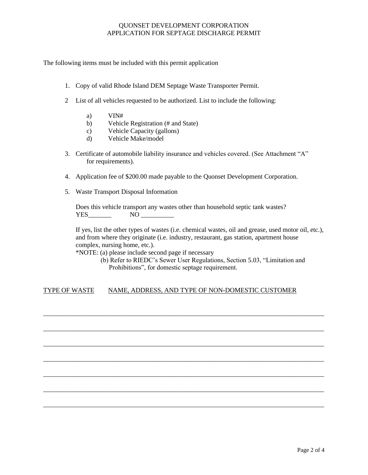The following items must be included with this permit application

- 1. Copy of valid Rhode Island DEM Septage Waste Transporter Permit.
- 2 List of all vehicles requested to be authorized. List to include the following:
	- a) VIN#
	- b) Vehicle Registration (# and State)
	- c) Vehicle Capacity (gallons)
	- d) Vehicle Make/model
- 3. Certificate of automobile liability insurance and vehicles covered. (See Attachment "A" for requirements).
- 4. Application fee of \$200.00 made payable to the Quonset Development Corporation.
- 5. Waste Transport Disposal Information

Does this vehicle transport any wastes other than household septic tank wastes? YES NO

If yes, list the other types of wastes (i.e. chemical wastes, oil and grease, used motor oil, etc.), and from where they originate (i.e. industry, restaurant, gas station, apartment house complex, nursing home, etc.).

\*NOTE: (a) please include second page if necessary

 (b) Refer to RIEDC's Sewer User Regulations, Section 5.03, "Limitation and Prohibitions", for domestic septage requirement.

## TYPE OF WASTE NAME, ADDRESS, AND TYPE OF NON-DOMESTIC CUSTOMER

\_\_\_\_\_\_\_\_\_\_\_\_\_\_\_\_\_\_\_\_\_\_\_\_\_\_\_\_\_\_\_\_\_\_\_\_\_\_\_\_\_\_\_\_\_\_\_\_\_\_\_\_\_\_\_\_\_\_\_\_\_\_\_\_\_\_\_\_\_\_\_\_\_\_\_\_\_\_\_\_\_\_\_\_\_

\_\_\_\_\_\_\_\_\_\_\_\_\_\_\_\_\_\_\_\_\_\_\_\_\_\_\_\_\_\_\_\_\_\_\_\_\_\_\_\_\_\_\_\_\_\_\_\_\_\_\_\_\_\_\_\_\_\_\_\_\_\_\_\_\_\_\_\_\_\_\_\_\_\_\_\_\_\_\_\_\_\_\_\_\_

\_\_\_\_\_\_\_\_\_\_\_\_\_\_\_\_\_\_\_\_\_\_\_\_\_\_\_\_\_\_\_\_\_\_\_\_\_\_\_\_\_\_\_\_\_\_\_\_\_\_\_\_\_\_\_\_\_\_\_\_\_\_\_\_\_\_\_\_\_\_\_\_\_\_\_\_\_\_\_\_\_\_\_\_\_

\_\_\_\_\_\_\_\_\_\_\_\_\_\_\_\_\_\_\_\_\_\_\_\_\_\_\_\_\_\_\_\_\_\_\_\_\_\_\_\_\_\_\_\_\_\_\_\_\_\_\_\_\_\_\_\_\_\_\_\_\_\_\_\_\_\_\_\_\_\_\_\_\_\_\_\_\_\_\_\_\_\_\_\_\_

\_\_\_\_\_\_\_\_\_\_\_\_\_\_\_\_\_\_\_\_\_\_\_\_\_\_\_\_\_\_\_\_\_\_\_\_\_\_\_\_\_\_\_\_\_\_\_\_\_\_\_\_\_\_\_\_\_\_\_\_\_\_\_\_\_\_\_\_\_\_\_\_\_\_\_\_\_\_\_\_\_\_\_\_\_

\_\_\_\_\_\_\_\_\_\_\_\_\_\_\_\_\_\_\_\_\_\_\_\_\_\_\_\_\_\_\_\_\_\_\_\_\_\_\_\_\_\_\_\_\_\_\_\_\_\_\_\_\_\_\_\_\_\_\_\_\_\_\_\_\_\_\_\_\_\_\_\_\_\_\_\_\_\_\_\_\_\_\_\_\_

\_\_\_\_\_\_\_\_\_\_\_\_\_\_\_\_\_\_\_\_\_\_\_\_\_\_\_\_\_\_\_\_\_\_\_\_\_\_\_\_\_\_\_\_\_\_\_\_\_\_\_\_\_\_\_\_\_\_\_\_\_\_\_\_\_\_\_\_\_\_\_\_\_\_\_\_\_\_\_\_\_\_\_\_\_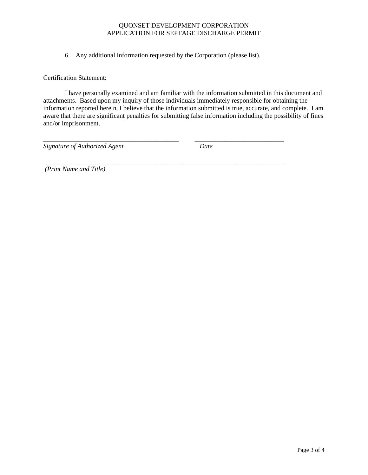6. Any additional information requested by the Corporation (please list).

\_\_\_\_\_\_\_\_\_\_\_\_\_\_\_\_\_\_\_\_\_\_\_\_\_\_\_\_\_\_\_\_\_\_\_\_\_\_\_\_\_ \_\_\_\_\_\_\_\_\_\_\_\_\_\_\_\_\_\_\_\_\_\_\_\_\_\_\_

*\_\_\_\_\_\_\_\_\_\_\_\_\_\_\_\_\_\_\_\_\_\_\_\_\_\_\_\_\_\_\_\_\_\_\_\_\_\_\_\_\_ \_\_\_\_\_\_\_\_\_\_\_\_\_\_\_\_\_\_\_\_\_\_\_\_\_\_\_\_\_\_\_\_*

Certification Statement:

I have personally examined and am familiar with the information submitted in this document and attachments. Based upon my inquiry of those individuals immediately responsible for obtaining the information reported herein, I believe that the information submitted is true, accurate, and complete. I am aware that there are significant penalties for submitting false information including the possibility of fines and/or imprisonment.

*Signature of Authorized Agent Date* 

*(Print Name and Title)*